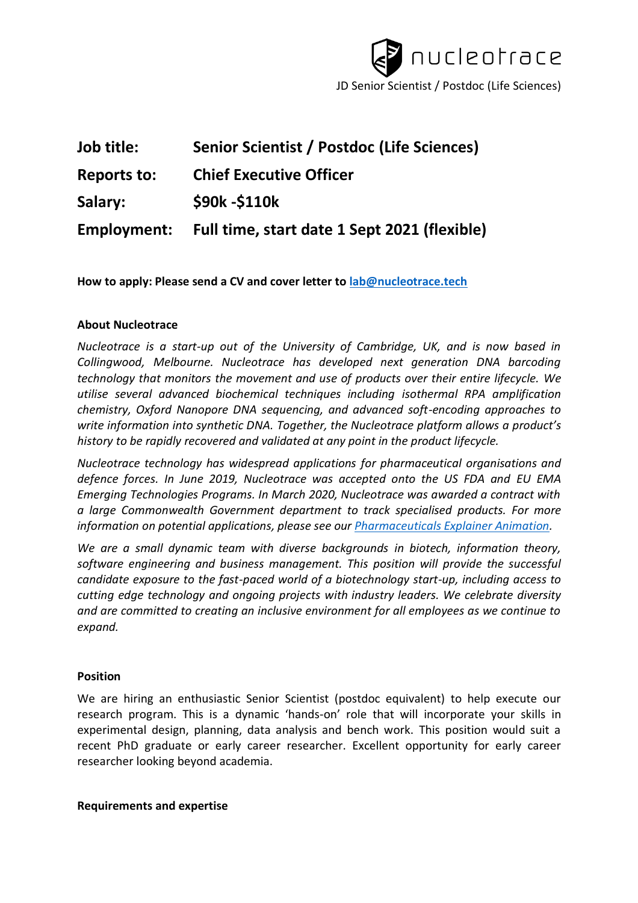

| Job title:         | Senior Scientist / Postdoc (Life Sciences)   |
|--------------------|----------------------------------------------|
| <b>Reports to:</b> | <b>Chief Executive Officer</b>               |
| Salary:            | \$90k - \$110k                               |
| Employment:        | Full time, start date 1 Sept 2021 (flexible) |

**How to apply: Please send a CV and cover letter to [lab@nucleotrace.tech](mailto:lab@nucleotrace.tech)**

# **About Nucleotrace**

*Nucleotrace is a start-up out of the University of Cambridge, UK, and is now based in Collingwood, Melbourne. Nucleotrace has developed next generation DNA barcoding technology that monitors the movement and use of products over their entire lifecycle. We utilise several advanced biochemical techniques including isothermal RPA amplification chemistry, Oxford Nanopore DNA sequencing, and advanced soft-encoding approaches to write information into synthetic DNA. Together, the Nucleotrace platform allows a product's history to be rapidly recovered and validated at any point in the product lifecycle.* 

*Nucleotrace technology has widespread applications for pharmaceutical organisations and defence forces. In June 2019, Nucleotrace was accepted onto the US FDA and EU EMA Emerging Technologies Programs. In March 2020, Nucleotrace was awarded a contract with a large Commonwealth Government department to track specialised products. For more information on potential applications, please see our [Pharmaceuticals Explainer Animation.](https://youtu.be/RUC3_BRvqxs)*

*We are a small dynamic team with diverse backgrounds in biotech, information theory, software engineering and business management. This position will provide the successful candidate exposure to the fast-paced world of a biotechnology start-up, including access to cutting edge technology and ongoing projects with industry leaders. We celebrate diversity and are committed to creating an inclusive environment for all employees as we continue to expand.* 

# **Position**

We are hiring an enthusiastic Senior Scientist (postdoc equivalent) to help execute our research program. This is a dynamic 'hands-on' role that will incorporate your skills in experimental design, planning, data analysis and bench work. This position would suit a recent PhD graduate or early career researcher. Excellent opportunity for early career researcher looking beyond academia.

# **Requirements and expertise**